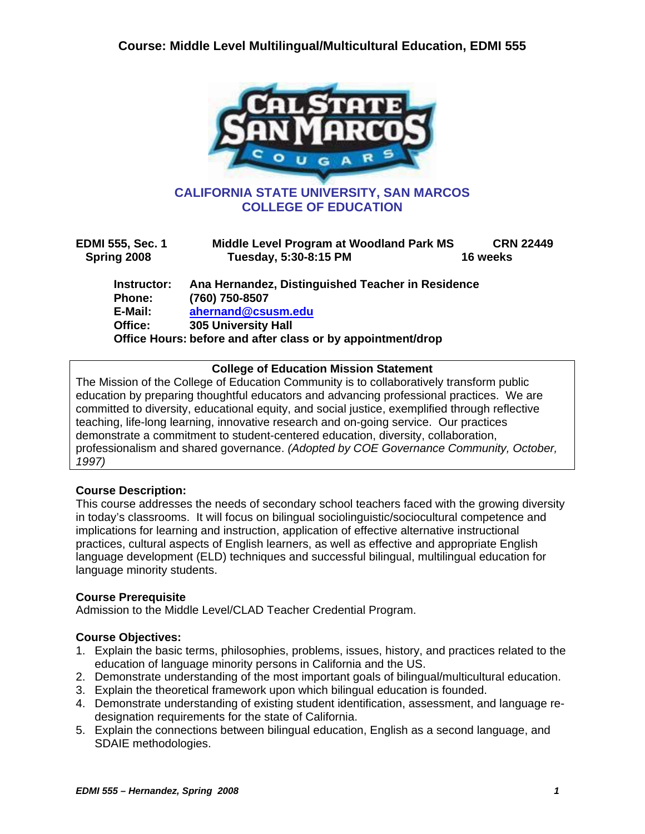

| <b>EDMI 555, Sec. 1</b><br>Spring 2008 | Middle Level Program at Woodland Park MS<br>Tuesday, 5:30-8:15 PM | <b>CRN 22449</b><br>16 weeks |
|----------------------------------------|-------------------------------------------------------------------|------------------------------|
| Instructor:                            | Ana Hernandez, Distinguished Teacher in Residence                 |                              |
| Phone:                                 | (760) 750-8507                                                    |                              |
| E-Mail:                                | ahernand@csusm.edu                                                |                              |
| Office:                                | <b>305 University Hall</b>                                        |                              |
|                                        | Office Hours: before and after class or by appointment/drop       |                              |

#### **College of Education Mission Statement**

The Mission of the College of Education Community is to collaboratively transform public education by preparing thoughtful educators and advancing professional practices. We are committed to diversity, educational equity, and social justice, exemplified through reflective teaching, life-long learning, innovative research and on-going service. Our practices demonstrate a commitment to student-centered education, diversity, collaboration, professionalism and shared governance. *(Adopted by COE Governance Community, October, 1997)*

### **Course Description:**

This course addresses the needs of secondary school teachers faced with the growing diversity in today's classrooms. It will focus on bilingual sociolinguistic/sociocultural competence and implications for learning and instruction, application of effective alternative instructional practices, cultural aspects of English learners, as well as effective and appropriate English language development (ELD) techniques and successful bilingual, multilingual education for language minority students.

### **Course Prerequisite**

Admission to the Middle Level/CLAD Teacher Credential Program.

### **Course Objectives:**

- 1. Explain the basic terms, philosophies, problems, issues, history, and practices related to the education of language minority persons in California and the US.
- 2. Demonstrate understanding of the most important goals of bilingual/multicultural education.
- 3. Explain the theoretical framework upon which bilingual education is founded.
- 4. Demonstrate understanding of existing student identification, assessment, and language redesignation requirements for the state of California.
- 5. Explain the connections between bilingual education, English as a second language, and SDAIE methodologies.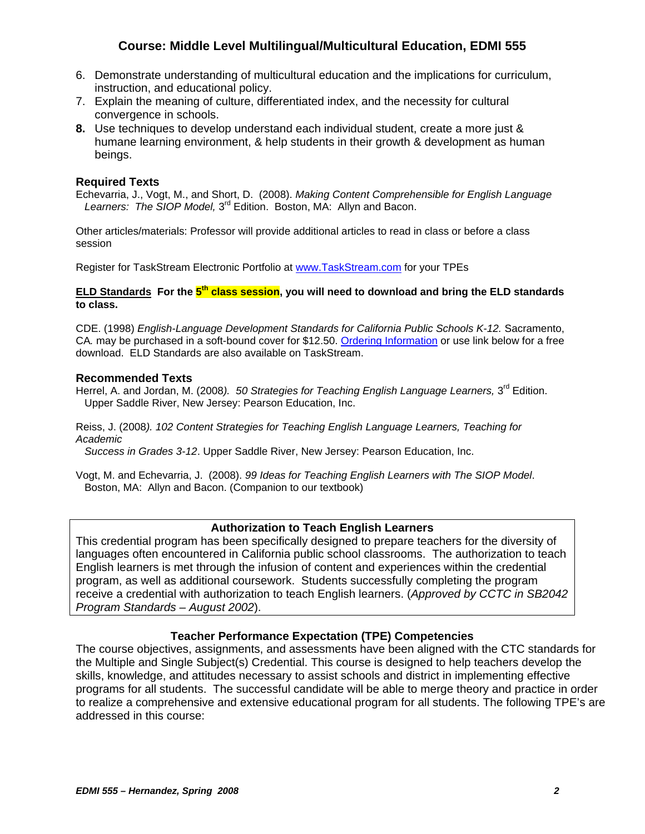- 6. Demonstrate understanding of multicultural education and the implications for curriculum, instruction, and educational policy.
- 7. Explain the meaning of culture, differentiated index, and the necessity for cultural convergence in schools.
- **8.** Use techniques to develop understand each individual student, create a more just & humane learning environment, & help students in their growth & development as human beings.

#### **Required Texts**

Echevarria, J., Vogt, M., and Short, D. (2008). *Making Content Comprehensible for English Language*  Learners: The SIOP Model, 3<sup>rd</sup> Edition. Boston, MA: Allyn and Bacon.

Other articles/materials: Professor will provide additional articles to read in class or before a class session

Register for TaskStream Electronic Portfolio at www.TaskStream.com for your TPEs

#### **ELD Standards For the 5th class session, you will need to download and bring the ELD standards to class.**

CDE. (1998) *English-Language Development Standards for California Public Schools K-12.* Sacramento, CA*.* may be purchased in a soft-bound cover for \$12.50. Ordering Information or use link below for a free download. ELD Standards are also available on TaskStream.

#### **Recommended Texts**

Herrel, A. and Jordan, M. (2008). 50 Strategies for Teaching English Language Learners, 3<sup>rd</sup> Edition. Upper Saddle River, New Jersey: Pearson Education, Inc.

Reiss, J. (2008*). 102 Content Strategies for Teaching English Language Learners, Teaching for Academic* 

 *Success in Grades 3-12*. Upper Saddle River, New Jersey: Pearson Education, Inc.

Vogt, M. and Echevarria, J. (2008). *99 Ideas for Teaching English Learners with The SIOP Model*. Boston, MA: Allyn and Bacon. (Companion to our textbook)

#### **Authorization to Teach English Learners**

This credential program has been specifically designed to prepare teachers for the diversity of languages often encountered in California public school classrooms. The authorization to teach English learners is met through the infusion of content and experiences within the credential program, as well as additional coursework. Students successfully completing the program receive a credential with authorization to teach English learners. (*Approved by CCTC in SB2042 Program Standards – August 2002*).

#### **Teacher Performance Expectation (TPE) Competencies**

The course objectives, assignments, and assessments have been aligned with the CTC standards for the Multiple and Single Subject(s) Credential. This course is designed to help teachers develop the skills, knowledge, and attitudes necessary to assist schools and district in implementing effective programs for all students. The successful candidate will be able to merge theory and practice in order to realize a comprehensive and extensive educational program for all students. The following TPE's are addressed in this course: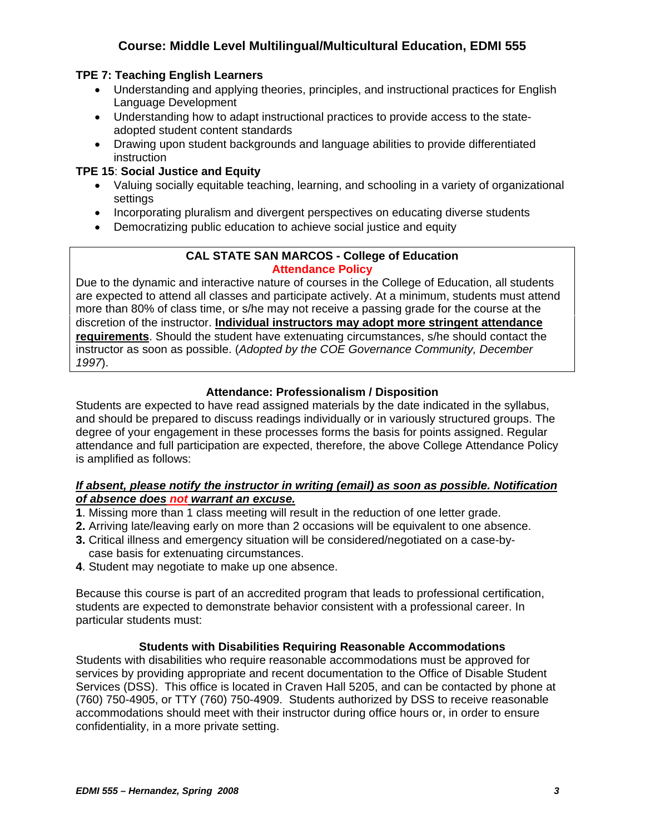## **TPE 7: Teaching English Learners**

- Understanding and applying theories, principles, and instructional practices for English Language Development
- Understanding how to adapt instructional practices to provide access to the stateadopted student content standards
- Drawing upon student backgrounds and language abilities to provide differentiated instruction

## **TPE 15**: **Social Justice and Equity**

- Valuing socially equitable teaching, learning, and schooling in a variety of organizational settings
- Incorporating pluralism and divergent perspectives on educating diverse students
- Democratizing public education to achieve social justice and equity

#### **CAL STATE SAN MARCOS - College of Education Attendance Policy**

Due to the dynamic and interactive nature of courses in the College of Education, all students are expected to attend all classes and participate actively. At a minimum, students must attend more than 80% of class time, or s/he may not receive a passing grade for the course at the discretion of the instructor. **Individual instructors may adopt more stringent attendance requirements**. Should the student have extenuating circumstances, s/he should contact the instructor as soon as possible. (*Adopted by the COE Governance Community, December 1997*).

## **Attendance: Professionalism / Disposition**

Students are expected to have read assigned materials by the date indicated in the syllabus, and should be prepared to discuss readings individually or in variously structured groups. The degree of your engagement in these processes forms the basis for points assigned. Regular attendance and full participation are expected, therefore, the above College Attendance Policy is amplified as follows:

### *If absent, please notify the instructor in writing (email) as soon as possible. Notification of absence does not warrant an excuse.*

- **1**. Missing more than 1 class meeting will result in the reduction of one letter grade.
- **2.** Arriving late/leaving early on more than 2 occasions will be equivalent to one absence.
- **3.** Critical illness and emergency situation will be considered/negotiated on a case-by case basis for extenuating circumstances.
- **4**. Student may negotiate to make up one absence.

Because this course is part of an accredited program that leads to professional certification, students are expected to demonstrate behavior consistent with a professional career. In particular students must:

### **Students with Disabilities Requiring Reasonable Accommodations**

Students with disabilities who require reasonable accommodations must be approved for services by providing appropriate and recent documentation to the Office of Disable Student Services (DSS). This office is located in Craven Hall 5205, and can be contacted by phone at (760) 750-4905, or TTY (760) 750-4909. Students authorized by DSS to receive reasonable accommodations should meet with their instructor during office hours or, in order to ensure confidentiality, in a more private setting.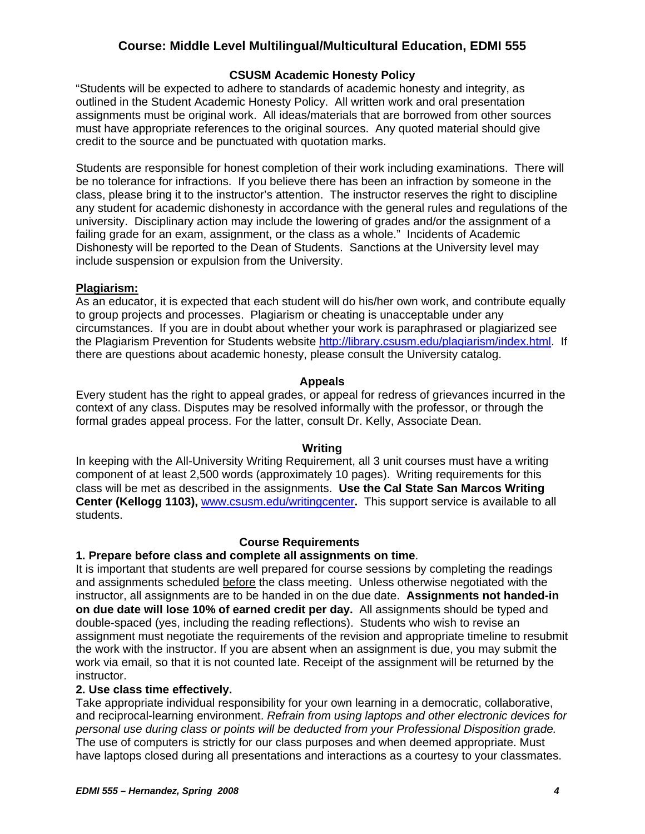### **CSUSM Academic Honesty Policy**

"Students will be expected to adhere to standards of academic honesty and integrity, as outlined in the Student Academic Honesty Policy. All written work and oral presentation assignments must be original work. All ideas/materials that are borrowed from other sources must have appropriate references to the original sources. Any quoted material should give credit to the source and be punctuated with quotation marks.

Students are responsible for honest completion of their work including examinations. There will be no tolerance for infractions. If you believe there has been an infraction by someone in the class, please bring it to the instructor's attention. The instructor reserves the right to discipline any student for academic dishonesty in accordance with the general rules and regulations of the university. Disciplinary action may include the lowering of grades and/or the assignment of a failing grade for an exam, assignment, or the class as a whole." Incidents of Academic Dishonesty will be reported to the Dean of Students. Sanctions at the University level may include suspension or expulsion from the University.

#### **Plagiarism:**

As an educator, it is expected that each student will do his/her own work, and contribute equally to group projects and processes. Plagiarism or cheating is unacceptable under any circumstances. If you are in doubt about whether your work is paraphrased or plagiarized see the Plagiarism Prevention for Students website http://library.csusm.edu/plagiarism/index.html. If there are questions about academic honesty, please consult the University catalog.

#### **Appeals**

Every student has the right to appeal grades, or appeal for redress of grievances incurred in the context of any class. Disputes may be resolved informally with the professor, or through the formal grades appeal process. For the latter, consult Dr. Kelly, Associate Dean.

#### **Writing**

In keeping with the All-University Writing Requirement, all 3 unit courses must have a writing component of at least 2,500 words (approximately 10 pages). Writing requirements for this class will be met as described in the assignments. **Use the Cal State San Marcos Writing Center (Kellogg 1103),** www.csusm.edu/writingcenter**.** This support service is available to all students.

#### **Course Requirements**

### **1. Prepare before class and complete all assignments on time**.

It is important that students are well prepared for course sessions by completing the readings and assignments scheduled before the class meeting. Unless otherwise negotiated with the instructor, all assignments are to be handed in on the due date. **Assignments not handed-in on due date will lose 10% of earned credit per day.** All assignments should be typed and double-spaced (yes, including the reading reflections). Students who wish to revise an assignment must negotiate the requirements of the revision and appropriate timeline to resubmit the work with the instructor. If you are absent when an assignment is due, you may submit the work via email, so that it is not counted late. Receipt of the assignment will be returned by the instructor.

#### **2. Use class time effectively.**

Take appropriate individual responsibility for your own learning in a democratic, collaborative, and reciprocal-learning environment. *Refrain from using laptops and other electronic devices for personal use during class or points will be deducted from your Professional Disposition grade.* The use of computers is strictly for our class purposes and when deemed appropriate. Must have laptops closed during all presentations and interactions as a courtesy to your classmates.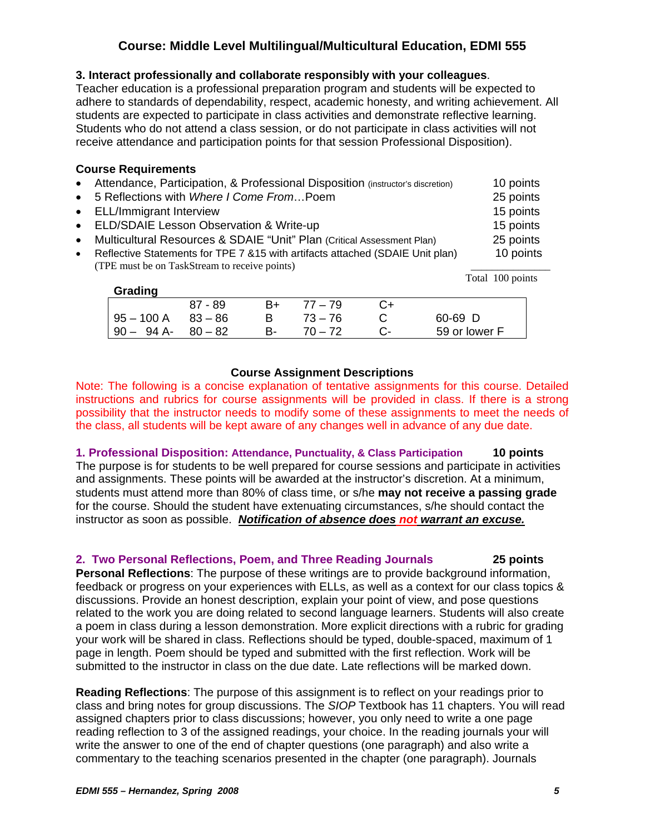#### **3. Interact professionally and collaborate responsibly with your colleagues**.

Teacher education is a professional preparation program and students will be expected to adhere to standards of dependability, respect, academic honesty, and writing achievement. All students are expected to participate in class activities and demonstrate reflective learning. Students who do not attend a class session, or do not participate in class activities will not receive attendance and participation points for that session Professional Disposition).

#### **Course Requirements**

- Attendance, Participation, & Professional Disposition (instructor's discretion) 10 points • 5 Reflections with *Where I Come From*…Poem 25 points • ELL/Immigrant Interview 15 points • ELD/SDAIE Lesson Observation & Write-up 15 points • Multicultural Resources & SDAIE "Unit" Plan (Critical Assessment Plan) 25 points
- Reflective Statements for TPE 7 &15 with artifacts attached (SDAIE Unit plan) 10 points (TPE must be on TaskStream to receive points) \_\_\_\_\_\_\_\_\_\_\_\_\_\_\_

| Grading      |           |    |           |               |
|--------------|-----------|----|-----------|---------------|
|              | $87 - 89$ | B+ | $77 - 79$ |               |
| $95 - 100$ A | $83 - 86$ |    | $73 - 76$ | $60 - 69$ D   |
| $90 - 94$ A- | 80 – 82   | B- | $70 - 72$ | 59 or lower F |

### **Course Assignment Descriptions**

Note: The following is a concise explanation of tentative assignments for this course. Detailed instructions and rubrics for course assignments will be provided in class. If there is a strong possibility that the instructor needs to modify some of these assignments to meet the needs of the class, all students will be kept aware of any changes well in advance of any due date.

**1. Professional Disposition: Attendance, Punctuality, & Class Participation 10 points** The purpose is for students to be well prepared for course sessions and participate in activities and assignments. These points will be awarded at the instructor's discretion. At a minimum, students must attend more than 80% of class time, or s/he **may not receive a passing grade** for the course. Should the student have extenuating circumstances, s/he should contact the instructor as soon as possible. *Notification of absence does not warrant an excuse.*

## **2. Two Personal Reflections, Poem, and Three Reading Journals 25 points**

**Personal Reflections**: The purpose of these writings are to provide background information, feedback or progress on your experiences with ELLs, as well as a context for our class topics & discussions. Provide an honest description, explain your point of view, and pose questions related to the work you are doing related to second language learners. Students will also create a poem in class during a lesson demonstration. More explicit directions with a rubric for grading your work will be shared in class. Reflections should be typed, double-spaced, maximum of 1 page in length. Poem should be typed and submitted with the first reflection. Work will be submitted to the instructor in class on the due date. Late reflections will be marked down.

**Reading Reflections**: The purpose of this assignment is to reflect on your readings prior to class and bring notes for group discussions. The *SIOP* Textbook has 11 chapters. You will read assigned chapters prior to class discussions; however, you only need to write a one page reading reflection to 3 of the assigned readings, your choice. In the reading journals your will write the answer to one of the end of chapter questions (one paragraph) and also write a commentary to the teaching scenarios presented in the chapter (one paragraph). Journals

Total 100 points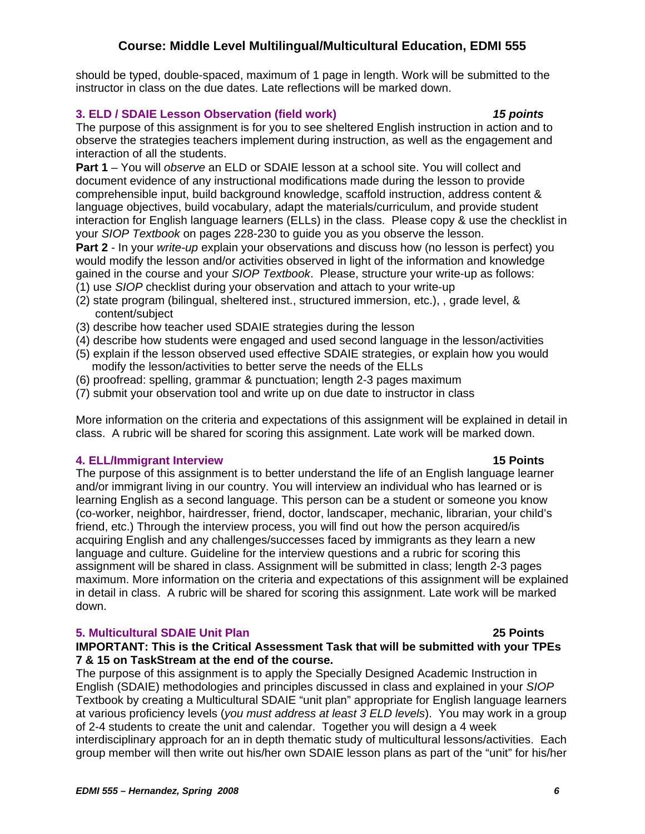should be typed, double-spaced, maximum of 1 page in length. Work will be submitted to the instructor in class on the due dates. Late reflections will be marked down.

#### **3. ELD / SDAIE Lesson Observation (field work)** *15 points*

## The purpose of this assignment is for you to see sheltered English instruction in action and to observe the strategies teachers implement during instruction, as well as the engagement and

interaction of all the students.

**Part 1** – You will *observe* an ELD or SDAIE lesson at a school site. You will collect and document evidence of any instructional modifications made during the lesson to provide comprehensible input, build background knowledge, scaffold instruction, address content & language objectives, build vocabulary, adapt the materials/curriculum, and provide student interaction for English language learners (ELLs) in the class. Please copy & use the checklist in your *SIOP Textbook* on pages 228-230 to guide you as you observe the lesson.

**Part 2** - In your *write-up* explain your observations and discuss how (no lesson is perfect) you would modify the lesson and/or activities observed in light of the information and knowledge gained in the course and your *SIOP Textbook*. Please, structure your write-up as follows:

- (1) use *SIOP* checklist during your observation and attach to your write-up
- (2) state program (bilingual, sheltered inst., structured immersion, etc.), , grade level, & content/subject
- (3) describe how teacher used SDAIE strategies during the lesson
- (4) describe how students were engaged and used second language in the lesson/activities
- (5) explain if the lesson observed used effective SDAIE strategies, or explain how you would modify the lesson/activities to better serve the needs of the ELLs
- (6) proofread: spelling, grammar & punctuation; length 2-3 pages maximum
- (7) submit your observation tool and write up on due date to instructor in class

More information on the criteria and expectations of this assignment will be explained in detail in class. A rubric will be shared for scoring this assignment. Late work will be marked down.

### **4. ELL/Immigrant Interview 15 Points**

The purpose of this assignment is to better understand the life of an English language learner and/or immigrant living in our country. You will interview an individual who has learned or is learning English as a second language. This person can be a student or someone you know (co-worker, neighbor, hairdresser, friend, doctor, landscaper, mechanic, librarian, your child's friend, etc.) Through the interview process, you will find out how the person acquired/is acquiring English and any challenges/successes faced by immigrants as they learn a new language and culture. Guideline for the interview questions and a rubric for scoring this assignment will be shared in class. Assignment will be submitted in class; length 2-3 pages maximum. More information on the criteria and expectations of this assignment will be explained in detail in class. A rubric will be shared for scoring this assignment. Late work will be marked down.

### **5. Multicultural SDAIE Unit Plan 25 Points**

#### **IMPORTANT: This is the Critical Assessment Task that will be submitted with your TPEs 7 & 15 on TaskStream at the end of the course.**

The purpose of this assignment is to apply the Specially Designed Academic Instruction in English (SDAIE) methodologies and principles discussed in class and explained in your *SIOP*  Textbook by creating a Multicultural SDAIE "unit plan" appropriate for English language learners at various proficiency levels (*you must address at least 3 ELD levels*). You may work in a group of 2-4 students to create the unit and calendar. Together you will design a 4 week interdisciplinary approach for an in depth thematic study of multicultural lessons/activities. Each

group member will then write out his/her own SDAIE lesson plans as part of the "unit" for his/her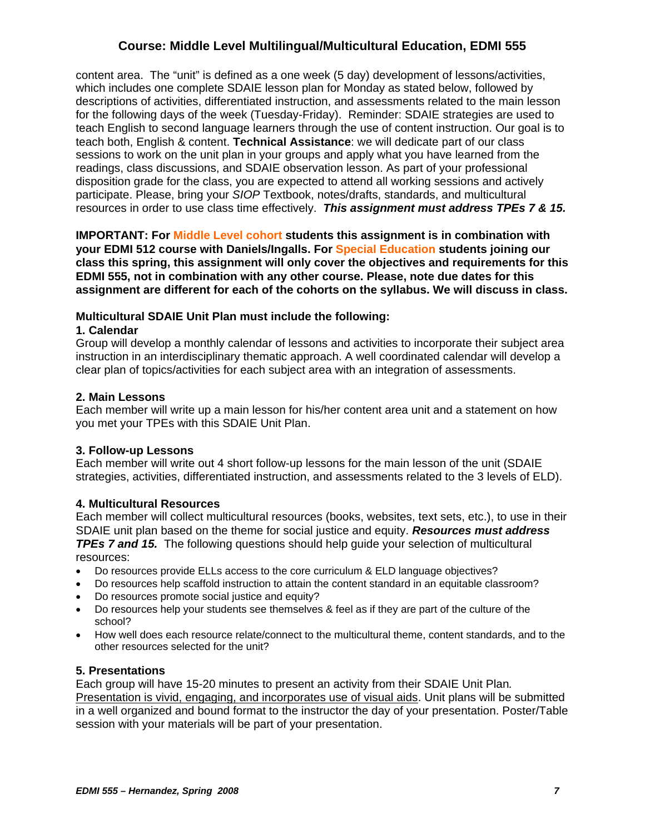content area. The "unit" is defined as a one week (5 day) development of lessons/activities, which includes one complete SDAIE lesson plan for Monday as stated below, followed by descriptions of activities, differentiated instruction, and assessments related to the main lesson for the following days of the week (Tuesday-Friday). Reminder: SDAIE strategies are used to teach English to second language learners through the use of content instruction. Our goal is to teach both, English & content. **Technical Assistance**: we will dedicate part of our class sessions to work on the unit plan in your groups and apply what you have learned from the readings, class discussions, and SDAIE observation lesson. As part of your professional disposition grade for the class, you are expected to attend all working sessions and actively participate. Please, bring your *SIOP* Textbook, notes/drafts, standards, and multicultural resources in order to use class time effectively. *This assignment must address TPEs 7 & 15.*

**IMPORTANT: For Middle Level cohort students this assignment is in combination with your EDMI 512 course with Daniels/Ingalls. For Special Education students joining our class this spring, this assignment will only cover the objectives and requirements for this EDMI 555, not in combination with any other course. Please, note due dates for this assignment are different for each of the cohorts on the syllabus. We will discuss in class.**

#### **Multicultural SDAIE Unit Plan must include the following:**

#### **1. Calendar**

Group will develop a monthly calendar of lessons and activities to incorporate their subject area instruction in an interdisciplinary thematic approach. A well coordinated calendar will develop a clear plan of topics/activities for each subject area with an integration of assessments.

#### **2. Main Lessons**

Each member will write up a main lesson for his/her content area unit and a statement on how you met your TPEs with this SDAIE Unit Plan.

#### **3. Follow-up Lessons**

Each member will write out 4 short follow-up lessons for the main lesson of the unit (SDAIE strategies, activities, differentiated instruction, and assessments related to the 3 levels of ELD).

#### **4. Multicultural Resources**

Each member will collect multicultural resources (books, websites, text sets, etc.), to use in their SDAIE unit plan based on the theme for social justice and equity. *Resources must address TPEs 7 and 15.* The following questions should help guide your selection of multicultural resources:

- Do resources provide ELLs access to the core curriculum & ELD language objectives?
- Do resources help scaffold instruction to attain the content standard in an equitable classroom?
- Do resources promote social justice and equity?
- Do resources help your students see themselves & feel as if they are part of the culture of the school?
- How well does each resource relate/connect to the multicultural theme, content standards, and to the other resources selected for the unit?

### **5. Presentations**

Each group will have 15-20 minutes to present an activity from their SDAIE Unit Plan*.*  Presentation is vivid, engaging, and incorporates use of visual aids. Unit plans will be submitted in a well organized and bound format to the instructor the day of your presentation. Poster/Table session with your materials will be part of your presentation.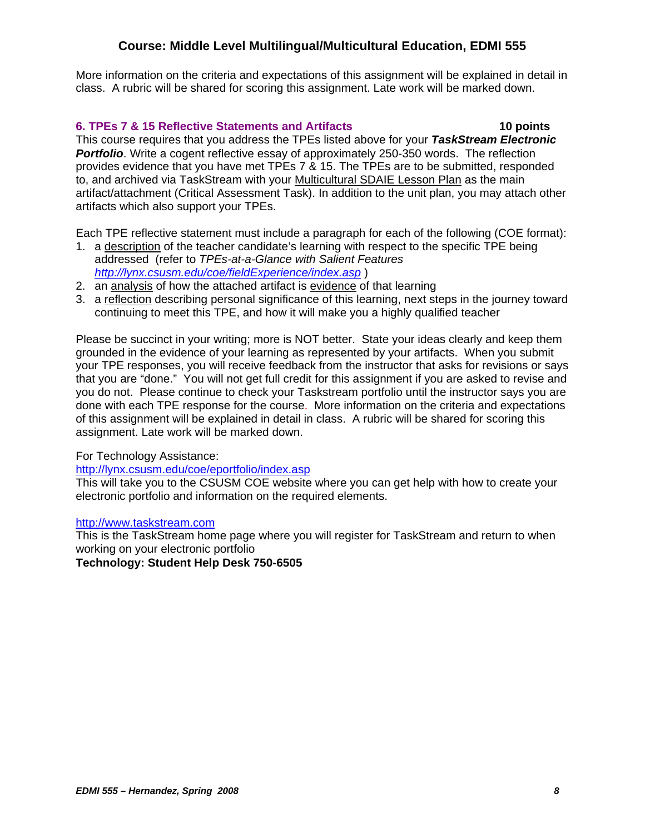More information on the criteria and expectations of this assignment will be explained in detail in class. A rubric will be shared for scoring this assignment. Late work will be marked down.

#### **6. TPEs 7 & 15 Reflective Statements and Artifacts 10 points**

This course requires that you address the TPEs listed above for your *TaskStream Electronic*  **Portfolio**. Write a cogent reflective essay of approximately 250-350 words. The reflection provides evidence that you have met TPEs 7 & 15. The TPEs are to be submitted, responded to, and archived via TaskStream with your Multicultural SDAIE Lesson Plan as the main artifact/attachment (Critical Assessment Task). In addition to the unit plan, you may attach other artifacts which also support your TPEs.

Each TPE reflective statement must include a paragraph for each of the following (COE format):

- 1. a description of the teacher candidate's learning with respect to the specific TPE being addressed (refer to *TPEs-at-a-Glance with Salient Features http://lynx.csusm.edu/coe/fieldExperience/index.asp* )
- 2. an analysis of how the attached artifact is evidence of that learning
- 3. a reflection describing personal significance of this learning, next steps in the journey toward continuing to meet this TPE, and how it will make you a highly qualified teacher

Please be succinct in your writing; more is NOT better. State your ideas clearly and keep them grounded in the evidence of your learning as represented by your artifacts. When you submit your TPE responses, you will receive feedback from the instructor that asks for revisions or says that you are "done." You will not get full credit for this assignment if you are asked to revise and you do not. Please continue to check your Taskstream portfolio until the instructor says you are done with each TPE response for the course. More information on the criteria and expectations of this assignment will be explained in detail in class. A rubric will be shared for scoring this assignment. Late work will be marked down.

#### For Technology Assistance:

http://lynx.csusm.edu/coe/eportfolio/index.asp

This will take you to the CSUSM COE website where you can get help with how to create your electronic portfolio and information on the required elements.

#### http://www.taskstream.com

This is the TaskStream home page where you will register for TaskStream and return to when working on your electronic portfolio

#### **Technology: Student Help Desk 750-6505**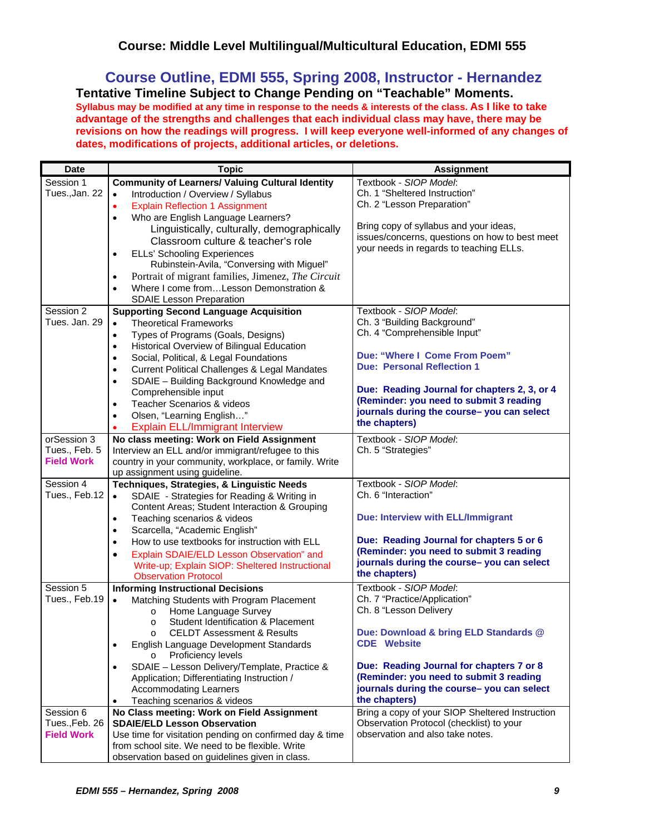**Course Outline, EDMI 555, Spring 2008, Instructor - Hernandez Tentative Timeline Subject to Change Pending on "Teachable" Moments.** 

**Syllabus may be modified at any time in response to the needs & interests of the class. As I like to take advantage of the strengths and challenges that each individual class may have, there may be revisions on how the readings will progress. I will keep everyone well-informed of any changes of dates, modifications of projects, additional articles, or deletions.**

| <b>Date</b>       | <b>Topic</b>                                                                         | <b>Assignment</b>                                           |
|-------------------|--------------------------------------------------------------------------------------|-------------------------------------------------------------|
| Session 1         | <b>Community of Learners/ Valuing Cultural Identity</b>                              | Textbook - SIOP Model:                                      |
| Tues., Jan. 22    | Introduction / Overview / Syllabus<br>$\bullet$                                      | Ch. 1 "Sheltered Instruction"                               |
|                   | <b>Explain Reflection 1 Assignment</b><br>$\bullet$                                  | Ch. 2 "Lesson Preparation"                                  |
|                   | Who are English Language Learners?<br>$\bullet$                                      |                                                             |
|                   | Linguistically, culturally, demographically                                          | Bring copy of syllabus and your ideas,                      |
|                   | Classroom culture & teacher's role                                                   | issues/concerns, questions on how to best meet              |
|                   | <b>ELLs' Schooling Experiences</b>                                                   | your needs in regards to teaching ELLs.                     |
|                   | Rubinstein-Avila, "Conversing with Miguel"                                           |                                                             |
|                   | Portrait of migrant families, Jimenez, The Circuit<br>$\bullet$                      |                                                             |
|                   | Where I come fromLesson Demonstration &<br>$\bullet$                                 |                                                             |
|                   | <b>SDAIE Lesson Preparation</b>                                                      |                                                             |
| Session 2         | <b>Supporting Second Language Acquisition</b>                                        | Textbook - SIOP Model:                                      |
| Tues. Jan. 29     | <b>Theoretical Frameworks</b>                                                        | Ch. 3 "Building Background"                                 |
|                   | Types of Programs (Goals, Designs)<br>$\bullet$                                      | Ch. 4 "Comprehensible Input"                                |
|                   | Historical Overview of Bilingual Education<br>$\bullet$                              |                                                             |
|                   | Social, Political, & Legal Foundations<br>$\bullet$                                  | Due: "Where I Come From Poem"                               |
|                   | <b>Current Political Challenges &amp; Legal Mandates</b><br>$\bullet$                | <b>Due: Personal Reflection 1</b>                           |
|                   | SDAIE - Building Background Knowledge and<br>$\bullet$                               |                                                             |
|                   | Comprehensible input                                                                 | Due: Reading Journal for chapters 2, 3, or 4                |
|                   | Teacher Scenarios & videos<br>$\bullet$                                              | (Reminder: you need to submit 3 reading                     |
|                   | Olsen, "Learning English"<br>$\bullet$                                               | journals during the course- you can select                  |
|                   | <b>Explain ELL/Immigrant Interview</b>                                               | the chapters)                                               |
| orSession 3       | No class meeting: Work on Field Assignment                                           | Textbook - SIOP Model:                                      |
| Tues., Feb. 5     | Interview an ELL and/or immigrant/refugee to this                                    | Ch. 5 "Strategies"                                          |
| <b>Field Work</b> | country in your community, workplace, or family. Write                               |                                                             |
|                   | up assignment using guideline.                                                       |                                                             |
| Session 4         | Techniques, Strategies, & Linguistic Needs                                           | Textbook - SIOP Model:                                      |
| Tues., Feb.12     | SDAIE - Strategies for Reading & Writing in<br>$\bullet$                             | Ch. 6 "Interaction"                                         |
|                   | Content Areas; Student Interaction & Grouping                                        |                                                             |
|                   | Teaching scenarios & videos<br>٠                                                     | Due: Interview with ELL/Immigrant                           |
|                   | Scarcella, "Academic English"<br>$\bullet$                                           |                                                             |
|                   | How to use textbooks for instruction with ELL<br>$\bullet$                           | Due: Reading Journal for chapters 5 or 6                    |
|                   | Explain SDAIE/ELD Lesson Observation" and<br>$\bullet$                               | (Reminder: you need to submit 3 reading                     |
|                   | Write-up; Explain SIOP: Sheltered Instructional                                      | journals during the course- you can select                  |
|                   | <b>Observation Protocol</b>                                                          | the chapters)                                               |
| Session 5         | <b>Informing Instructional Decisions</b>                                             | Textbook - SIOP Model:                                      |
| Tues., Feb.19     | Matching Students with Program Placement<br>$\bullet$                                | Ch. 7 "Practice/Application"                                |
|                   | Home Language Survey<br>$\circ$                                                      | Ch. 8 "Lesson Delivery                                      |
|                   | Student Identification & Placement<br>$\circ$                                        |                                                             |
|                   | <b>CELDT Assessment &amp; Results</b>                                                | Due: Download & bring ELD Standards @<br><b>CDE</b> Website |
|                   | English Language Development Standards<br>$\bullet$<br>Proficiency levels<br>$\circ$ |                                                             |
|                   | SDAIE - Lesson Delivery/Template, Practice &<br>$\bullet$                            | Due: Reading Journal for chapters 7 or 8                    |
|                   | Application; Differentiating Instruction /                                           | (Reminder: you need to submit 3 reading                     |
|                   | <b>Accommodating Learners</b>                                                        | journals during the course-you can select                   |
|                   | Teaching scenarios & videos                                                          | the chapters)                                               |
| Session 6         | No Class meeting: Work on Field Assignment                                           | Bring a copy of your SIOP Sheltered Instruction             |
| Tues., Feb. 26    | <b>SDAIE/ELD Lesson Observation</b>                                                  | Observation Protocol (checklist) to your                    |
| <b>Field Work</b> | Use time for visitation pending on confirmed day & time                              | observation and also take notes.                            |
|                   | from school site. We need to be flexible. Write                                      |                                                             |
|                   | observation based on guidelines given in class.                                      |                                                             |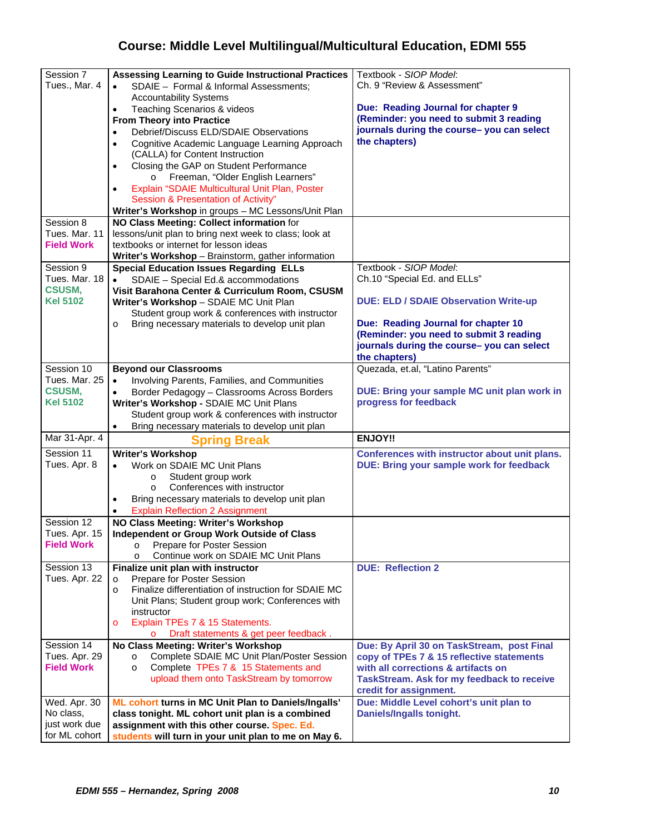| Session 7         | <b>Assessing Learning to Guide Instructional Practices</b>      | Textbook - SIOP Model:                          |
|-------------------|-----------------------------------------------------------------|-------------------------------------------------|
| Tues., Mar. 4     | SDAIE - Formal & Informal Assessments;<br>$\bullet$             | Ch. 9 "Review & Assessment"                     |
|                   | <b>Accountability Systems</b>                                   |                                                 |
|                   | Teaching Scenarios & videos<br>$\bullet$                        | Due: Reading Journal for chapter 9              |
|                   | <b>From Theory into Practice</b>                                | (Reminder: you need to submit 3 reading         |
|                   | Debrief/Discuss ELD/SDAIE Observations                          | journals during the course-you can select       |
|                   | Cognitive Academic Language Learning Approach<br>$\bullet$      | the chapters)                                   |
|                   | (CALLA) for Content Instruction                                 |                                                 |
|                   | Closing the GAP on Student Performance<br>$\bullet$             |                                                 |
|                   | Freeman, "Older English Learners"<br>$\circ$                    |                                                 |
|                   | Explain "SDAIE Multicultural Unit Plan, Poster                  |                                                 |
|                   | Session & Presentation of Activity"                             |                                                 |
|                   |                                                                 |                                                 |
|                   | Writer's Workshop in groups - MC Lessons/Unit Plan              |                                                 |
| Session 8         | NO Class Meeting: Collect information for                       |                                                 |
| Tues, Mar. 11     | lessons/unit plan to bring next week to class; look at          |                                                 |
| <b>Field Work</b> | textbooks or internet for lesson ideas                          |                                                 |
|                   | Writer's Workshop - Brainstorm, gather information              |                                                 |
| Session 9         | <b>Special Education Issues Regarding ELLs</b>                  | Textbook - SIOP Model:                          |
| Tues, Mar. 18     | SDAIE - Special Ed.& accommodations                             | Ch.10 "Special Ed. and ELLs"                    |
| <b>CSUSM,</b>     | Visit Barahona Center & Curriculum Room, CSUSM                  |                                                 |
| Kel 5102          | Writer's Workshop - SDAIE MC Unit Plan                          | <b>DUE: ELD / SDAIE Observation Write-up</b>    |
|                   | Student group work & conferences with instructor                |                                                 |
|                   | Bring necessary materials to develop unit plan<br>$\circ$       | Due: Reading Journal for chapter 10             |
|                   |                                                                 | (Reminder: you need to submit 3 reading         |
|                   |                                                                 | journals during the course- you can select      |
|                   |                                                                 | the chapters)                                   |
| Session 10        | <b>Beyond our Classrooms</b>                                    | Quezada, et.al, "Latino Parents"                |
| Tues, Mar. 25     | Involving Parents, Families, and Communities                    |                                                 |
| <b>CSUSM,</b>     | Border Pedagogy - Classrooms Across Borders                     | DUE: Bring your sample MC unit plan work in     |
| Kel 5102          |                                                                 | progress for feedback                           |
|                   | Writer's Workshop - SDAIE MC Unit Plans                         |                                                 |
|                   |                                                                 |                                                 |
|                   | Student group work & conferences with instructor                |                                                 |
|                   | Bring necessary materials to develop unit plan<br>$\bullet$     |                                                 |
| Mar 31-Apr. 4     | <b>Spring Break</b>                                             | <b>ENJOY!!</b>                                  |
| Session 11        | <b>Writer's Workshop</b>                                        | Conferences with instructor about unit plans.   |
| Tues. Apr. 8      | Work on SDAIE MC Unit Plans<br>$\bullet$                        | <b>DUE: Bring your sample work for feedback</b> |
|                   | $\circ$                                                         |                                                 |
|                   | Student group work<br>Conferences with instructor<br>$\circ$    |                                                 |
|                   |                                                                 |                                                 |
|                   | Bring necessary materials to develop unit plan                  |                                                 |
|                   | <b>Explain Reflection 2 Assignment</b>                          |                                                 |
| Session 12        | NO Class Meeting: Writer's Workshop                             |                                                 |
| Tues. Apr. 15     | Independent or Group Work Outside of Class                      |                                                 |
| <b>Field Work</b> | Prepare for Poster Session<br>$\circ$                           |                                                 |
|                   | Continue work on SDAIE MC Unit Plans<br>$\circ$                 |                                                 |
| Session 13        | Finalize unit plan with instructor                              | <b>DUE: Reflection 2</b>                        |
| Tues. Apr. 22     | Prepare for Poster Session<br>$\circ$                           |                                                 |
|                   | Finalize differentiation of instruction for SDAIE MC<br>$\circ$ |                                                 |
|                   | Unit Plans; Student group work; Conferences with                |                                                 |
|                   | instructor                                                      |                                                 |
|                   | Explain TPEs 7 & 15 Statements.<br>$\circ$                      |                                                 |
|                   | Draft statements & get peer feedback.                           |                                                 |
| Session 14        | No Class Meeting: Writer's Workshop                             | Due: By April 30 on TaskStream, post Final      |
| Tues. Apr. 29     | Complete SDAIE MC Unit Plan/Poster Session<br>$\circ$           | copy of TPEs 7 & 15 reflective statements       |
| <b>Field Work</b> | Complete TPEs 7 & 15 Statements and<br>$\circ$                  | with all corrections & artifacts on             |
|                   | upload them onto TaskStream by tomorrow                         | TaskStream. Ask for my feedback to receive      |
|                   |                                                                 | credit for assignment.                          |
| Wed. Apr. 30      | ML cohort turns in MC Unit Plan to Daniels/Ingalls'             | Due: Middle Level cohort's unit plan to         |
| No class,         | class tonight. ML cohort unit plan is a combined                | Daniels/Ingalls tonight.                        |
| just work due     | assignment with this other course. Spec. Ed.                    |                                                 |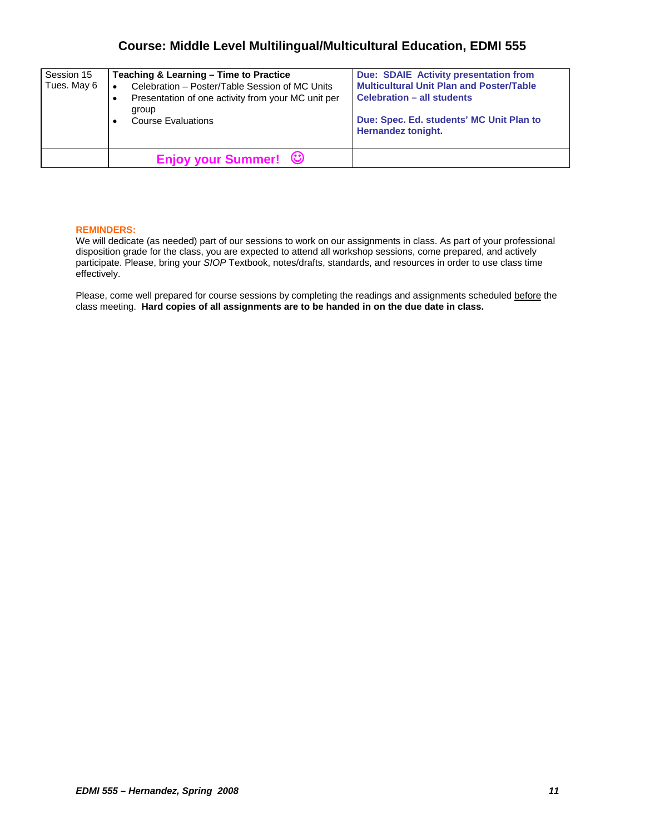| Session 15<br>Tues. May 6 | Teaching & Learning - Time to Practice<br>Celebration - Poster/Table Session of MC Units<br>Presentation of one activity from your MC unit per<br>group<br><b>Course Evaluations</b> | Due: SDAIE Activity presentation from<br><b>Multicultural Unit Plan and Poster/Table</b><br><b>Celebration - all students</b><br>Due: Spec. Ed. students' MC Unit Plan to<br>Hernandez tonight. |
|---------------------------|--------------------------------------------------------------------------------------------------------------------------------------------------------------------------------------|-------------------------------------------------------------------------------------------------------------------------------------------------------------------------------------------------|
|                           | Enjoy your Summer! ©                                                                                                                                                                 |                                                                                                                                                                                                 |

#### **REMINDERS:**

We will dedicate (as needed) part of our sessions to work on our assignments in class. As part of your professional disposition grade for the class, you are expected to attend all workshop sessions, come prepared, and actively participate. Please, bring your *SIOP* Textbook, notes/drafts, standards, and resources in order to use class time effectively.

Please, come well prepared for course sessions by completing the readings and assignments scheduled before the class meeting. **Hard copies of all assignments are to be handed in on the due date in class.**